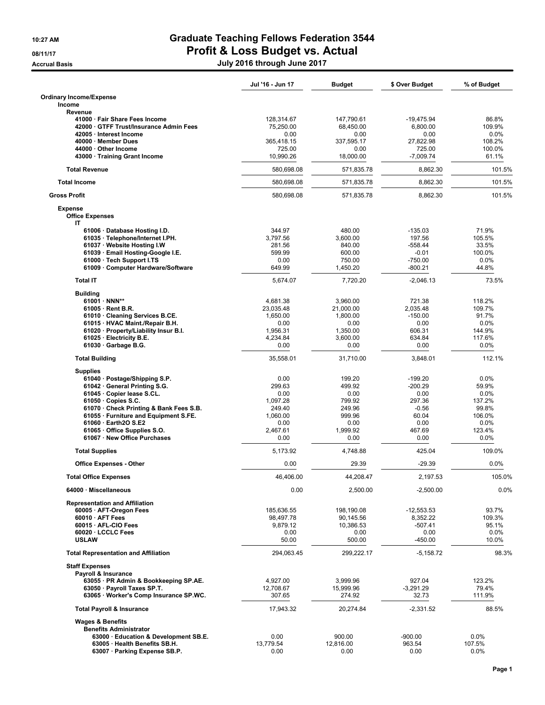## 10:27 AM Graduate Teaching Fellows Federation 3544 **DETTER**<br>08/11/17 Profit & Loss Budget vs. Actual

Accrual Basis July 2016 through June 2017

|                                                              | Jul '16 - Jun 17 | <b>Budget</b>      | \$ Over Budget         | % of Budget       |
|--------------------------------------------------------------|------------------|--------------------|------------------------|-------------------|
| <b>Ordinary Income/Expense</b><br>Income                     |                  |                    |                        |                   |
| Revenue<br>41000 · Fair Share Fees Income                    | 128,314.67       | 147,790.61         | $-19,475.94$           | 86.8%             |
| 42000 GTFF Trust/Insurance Admin Fees                        | 75,250.00        | 68,450.00          | 6,800.00               | 109.9%            |
| 42005 · Interest Income                                      | 0.00             | 0.00               | 0.00                   | 0.0%              |
| 40000 · Member Dues                                          | 365,418.15       | 337,595.17         | 27,822.98              | 108.2%            |
| 44000 · Other Income                                         | 725.00           | 0.00               | 725.00                 | 100.0%            |
| 43000 · Training Grant Income                                | 10,990.26        | 18,000.00          | $-7,009.74$            | 61.1%             |
| <b>Total Revenue</b>                                         | 580,698.08       | 571,835.78         | 8,862.30               | 101.5%            |
| <b>Total Income</b>                                          | 580.698.08       | 571.835.78         | 8,862.30               | 101.5%            |
| <b>Gross Profit</b>                                          | 580,698.08       | 571,835.78         | 8,862.30               | 101.5%            |
| <b>Expense</b><br><b>Office Expenses</b><br>IT               |                  |                    |                        |                   |
| 61006 · Database Hosting I.D.                                | 344.97           | 480.00             | $-135.03$              | 71.9%             |
| 61035 · Telephone/Internet I.PH.                             | 3,797.56         | 3,600.00           | 197.56                 | 105.5%            |
| 61037 · Website Hosting I.W                                  | 281.56           | 840.00             | $-558.44$              | 33.5%             |
| 61039 · Email Hosting-Google I.E.                            | 599.99           | 600.00             | $-0.01$                | 100.0%            |
| 61000 · Tech Support I.TS                                    | 0.00<br>649.99   | 750.00<br>1,450.20 | $-750.00$<br>$-800.21$ | $0.0\%$<br>44.8%  |
| 61009 · Computer Hardware/Software                           |                  |                    |                        |                   |
| <b>Total IT</b>                                              | 5,674.07         | 7,720.20           | $-2,046.13$            | 73.5%             |
| <b>Building</b><br>61001 · NNN**                             | 4.681.38         | 3,960.00           | 721.38                 | 118.2%            |
| 61005 · Rent B.R.                                            | 23,035.48        | 21,000.00          | 2,035.48               | 109.7%            |
| 61010 · Cleaning Services B.CE.                              | 1,650.00         | 1,800.00           | $-150.00$              | 91.7%             |
| 61015 · HVAC Maint./Repair B.H.                              | 0.00             | 0.00               | 0.00                   | $0.0\%$           |
| 61020 · Property/Liability Insur B.I.                        | 1,956.31         | 1,350.00           | 606.31                 | 144.9%            |
| 61025 · Electricity B.E.                                     | 4,234.84         | 3,600.00           | 634.84                 | 117.6%            |
| $61030 \cdot$ Garbage B.G.                                   | 0.00             | 0.00               | 0.00                   | 0.0%              |
| <b>Total Building</b>                                        | 35,558.01        | 31,710.00          | 3,848.01               | 112.1%            |
| <b>Supplies</b>                                              |                  |                    |                        |                   |
| 61040 · Postage/Shipping S.P.                                | 0.00             | 199.20             | $-199.20$              | 0.0%              |
| 61042 General Printing S.G.                                  | 299.63           | 499.92             | $-200.29$              | 59.9%             |
| 61045 · Copier lease S.CL.                                   | 0.00             | 0.00               | 0.00                   | $0.0\%$           |
| 61050 · Copies S.C.                                          | 1,097.28         | 799.92             | 297.36                 | 137.2%            |
| 61070 Check Printing & Bank Fees S.B.                        | 249.40           | 249.96             | -0.56                  | 99.8%             |
| 61055 · Furniture and Equipment S.FE.                        | 1,060.00         | 999.96             | 60.04                  | 106.0%            |
| 61060 · Earth2O S.E2<br>61065 · Office Supplies S.O.         | 0.00<br>2,467.61 | 0.00<br>1.999.92   | 0.00<br>467.69         | $0.0\%$<br>123.4% |
| 61067 · New Office Purchases                                 | 0.00             | 0.00               | 0.00                   | 0.0%              |
| <b>Total Supplies</b>                                        | 5,173.92         | 4,748.88           | 425.04                 | 109.0%            |
| <b>Office Expenses - Other</b>                               | 0.00             | 29.39              | $-29.39$               | 0.0%              |
| <b>Total Office Expenses</b>                                 | 46,406.00        | 44,208.47          | 2,197.53               | 105.0%            |
| 64000 · Miscellaneous                                        | 0.00             | 2,500.00           | $-2,500.00$            | 0.0%              |
| <b>Representation and Affiliation</b>                        |                  |                    |                        |                   |
| 60005 · AFT-Oregon Fees                                      | 185,636.55       | 198,190.08         | $-12,553.53$           | 93.7%             |
| $60010 \cdot AFT$ Fees                                       | 98,497.78        | 90,145.56          | 8,352.22               | 109.3%            |
| 60015 · AFL-CIO Fees                                         | 9,879.12         | 10,386.53          | $-507.41$              | 95.1%             |
| 60020 · LCCLC Fees<br><b>USLAW</b>                           | 0.00<br>50.00    | 0.00<br>500.00     | 0.00<br>-450.00        | 0.0%<br>10.0%     |
| <b>Total Representation and Affiliation</b>                  | 294,063.45       | 299,222.17         | $-5,158.72$            | 98.3%             |
| <b>Staff Expenses</b>                                        |                  |                    |                        |                   |
| Payroll & Insurance                                          |                  |                    |                        |                   |
| 63055 · PR Admin & Bookkeeping SP.AE.                        | 4,927.00         | 3,999.96           | 927.04                 | 123.2%            |
| 63050 · Payroll Taxes SP.T.                                  | 12,708.67        | 15,999.96          | $-3,291.29$            | 79.4%             |
| 63065 · Worker's Comp Insurance SP.WC.                       | 307.65           | 274.92             | 32.73                  | 111.9%            |
| <b>Total Payroll &amp; Insurance</b>                         | 17,943.32        | 20,274.84          | $-2,331.52$            | 88.5%             |
| <b>Wages &amp; Benefits</b><br><b>Benefits Administrator</b> |                  |                    |                        |                   |
| 63000 · Education & Development SB.E.                        | 0.00             | 900.00             | $-900.00$              | 0.0%              |
| 63005 · Health Benefits SB.H.                                | 13,779.54        | 12,816.00          | 963.54                 | 107.5%            |
| 63007 · Parking Expense SB.P.                                | 0.00             | 0.00               | 0.00                   | $0.0\%$           |